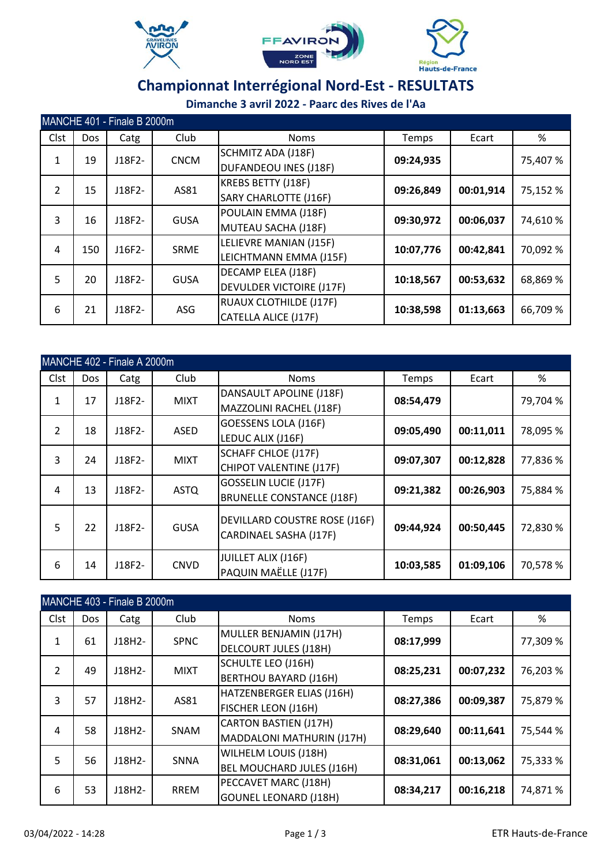





|                | MANCHE 401 - Finale B 2000m |        |             |                                 |           |           |          |  |  |  |  |
|----------------|-----------------------------|--------|-------------|---------------------------------|-----------|-----------|----------|--|--|--|--|
| Clst           | <b>Dos</b>                  | Catg   | Club        | <b>Noms</b>                     | Temps     | Ecart     | %        |  |  |  |  |
| $\mathbf{1}$   | 19                          | J18F2- | <b>CNCM</b> | SCHMITZ ADA (J18F)              | 09:24,935 |           | 75,407 % |  |  |  |  |
|                |                             |        |             | <b>DUFANDEOU INES (J18F)</b>    |           |           |          |  |  |  |  |
| $\overline{2}$ | 15                          | J18F2- | AS81        | <b>KREBS BETTY (J18F)</b>       | 09:26,849 | 00:01,914 | 75,152 % |  |  |  |  |
|                |                             |        |             | <b>SARY CHARLOTTE (J16F)</b>    |           |           |          |  |  |  |  |
| 3              | 16                          | J18F2- | <b>GUSA</b> | POULAIN EMMA (J18F)             | 09:30,972 | 00:06,037 | 74,610 % |  |  |  |  |
|                |                             |        |             | MUTEAU SACHA (J18F)             |           |           |          |  |  |  |  |
| 4              | 150                         | J16F2- | <b>SRME</b> | LELIEVRE MANIAN (J15F)          | 10:07,776 | 00:42,841 | 70,092 % |  |  |  |  |
|                |                             |        |             | LEICHTMANN EMMA (J15F)          |           |           |          |  |  |  |  |
| 5              | 20                          | J18F2- | <b>GUSA</b> | DECAMP ELEA (J18F)              | 10:18,567 | 00:53,632 | 68,869 % |  |  |  |  |
|                |                             |        |             | <b>DEVULDER VICTOIRE (J17F)</b> |           |           |          |  |  |  |  |
| 6              | 21                          | J18F2- | ASG         | <b>RUAUX CLOTHILDE (J17F)</b>   | 10:38,598 | 01:13,663 | 66,709 % |  |  |  |  |
|                |                             |        |             | CATELLA ALICE (J17F)            |           |           |          |  |  |  |  |

|                | MANCHE 402 - Finale A 2000m |        |             |                                                                       |           |           |          |  |  |  |  |
|----------------|-----------------------------|--------|-------------|-----------------------------------------------------------------------|-----------|-----------|----------|--|--|--|--|
| Clst           | Dos                         | Catg   | Club        | <b>Noms</b>                                                           | Temps     | Ecart     | %        |  |  |  |  |
| 1              | 17                          | J18F2- | <b>MIXT</b> | DANSAULT APOLINE (J18F)                                               | 08:54,479 |           | 79,704 % |  |  |  |  |
|                |                             |        |             | MAZZOLINI RACHEL (J18F)<br><b>GOESSENS LOLA (J16F)</b>                |           |           |          |  |  |  |  |
| $\overline{2}$ | 18                          | J18F2- | <b>ASED</b> | LEDUC ALIX (J16F)                                                     | 09:05,490 | 00:11,011 | 78,095 % |  |  |  |  |
| 3              | 24                          | J18F2- | <b>MIXT</b> | <b>SCHAFF CHLOE (J17F)</b>                                            | 09:07,307 | 00:12,828 | 77,836 % |  |  |  |  |
|                |                             |        |             | CHIPOT VALENTINE (J17F)                                               |           |           |          |  |  |  |  |
| 4              | 13                          | J18F2- | <b>ASTQ</b> | <b>GOSSELIN LUCIE (J17F)</b><br><b>BRUNELLE CONSTANCE (J18F)</b>      | 09:21,382 | 00:26,903 | 75,884 % |  |  |  |  |
| 5              | 22                          | J18F2- | <b>GUSA</b> | <b>DEVILLARD COUSTRE ROSE (J16F)</b><br><b>CARDINAEL SASHA (J17F)</b> | 09:44,924 | 00:50,445 | 72,830 % |  |  |  |  |
| 6              | 14                          | J18F2- | <b>CNVD</b> | JUILLET ALIX (J16F)<br>PAQUIN MAËLLE (J17F)                           | 10:03,585 | 01:09,106 | 70,578 % |  |  |  |  |

|                | MANCHE 403 - Finale B 2000m |          |             |                                                           |           |           |          |  |  |  |  |
|----------------|-----------------------------|----------|-------------|-----------------------------------------------------------|-----------|-----------|----------|--|--|--|--|
| Clst           | Dos                         | Catg     | Club        | <b>Noms</b>                                               | Temps     | Ecart     | %        |  |  |  |  |
| $\mathbf{1}$   | 61                          | $J18H2-$ | <b>SPNC</b> | MULLER BENJAMIN (J17H)<br><b>DELCOURT JULES (J18H)</b>    | 08:17,999 |           | 77,309 % |  |  |  |  |
| $\overline{2}$ | 49                          | J18H2-   | <b>MIXT</b> | <b>SCHULTE LEO (J16H)</b><br><b>BERTHOU BAYARD (J16H)</b> | 08:25,231 | 00:07,232 | 76,203 % |  |  |  |  |
| 3              | 57                          | J18H2-   | AS81        | HATZENBERGER ELIAS (J16H)<br>FISCHER LEON (J16H)          | 08:27,386 | 00:09,387 | 75,879 % |  |  |  |  |
| $\overline{4}$ | 58                          | J18H2-   | SNAM        | <b>CARTON BASTIEN (J17H)</b><br>MADDALONI MATHURIN (J17H) | 08:29,640 | 00:11,641 | 75,544 % |  |  |  |  |
| 5              | 56                          | J18H2-   | SNNA        | WILHELM LOUIS (J18H)<br>BEL MOUCHARD JULES (J16H)         | 08:31,061 | 00:13,062 | 75,333 % |  |  |  |  |
| 6              | 53                          | $J18H2-$ | <b>RREM</b> | PECCAVET MARC (J18H)<br><b>GOUNEL LEONARD (J18H)</b>      | 08:34,217 | 00:16,218 | 74,871 % |  |  |  |  |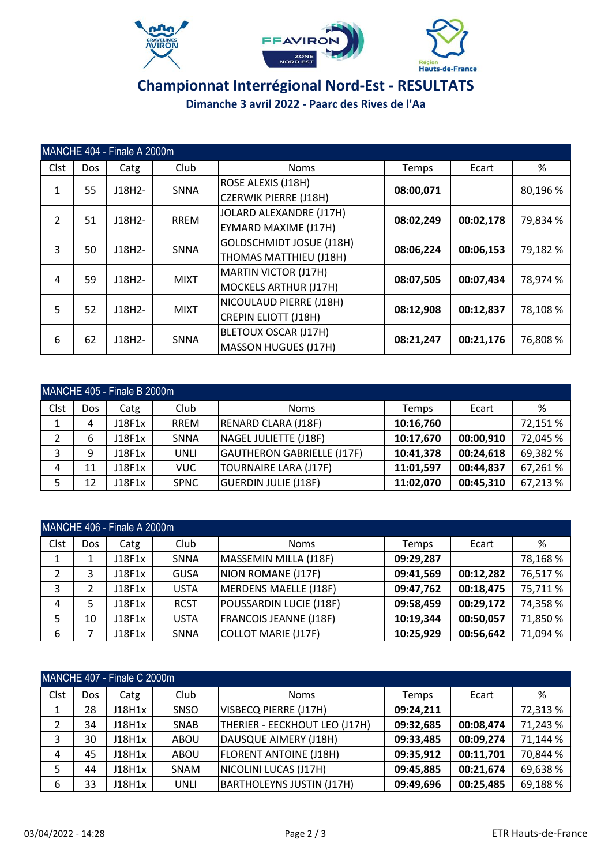





#### **Championnat Interrégional Nord-Est - RESULTATS Dimanche 3 avril 2022 - Paarc des Rives de l'Aa**

|                | MANCHE 404 - Finale A 2000m |          |             |                                                           |           |           |          |  |  |  |  |
|----------------|-----------------------------|----------|-------------|-----------------------------------------------------------|-----------|-----------|----------|--|--|--|--|
| Clst           | Dos                         | Catg     | Club        | <b>Noms</b>                                               | Temps     | Ecart     | %        |  |  |  |  |
| 1              | 55                          | J18H2-   | <b>SNNA</b> | <b>ROSE ALEXIS (J18H)</b><br><b>CZERWIK PIERRE (J18H)</b> | 08:00,071 |           | 80,196 % |  |  |  |  |
| $\overline{2}$ | 51                          | J18H2-   | <b>RREM</b> | JOLARD ALEXANDRE (J17H)<br>EYMARD MAXIME (J17H)           | 08:02,249 | 00:02,178 | 79,834 % |  |  |  |  |
| 3              | 50                          | $J18H2-$ | <b>SNNA</b> | <b>GOLDSCHMIDT JOSUE (J18H)</b><br>THOMAS MATTHIEU (J18H) | 08:06,224 | 00:06,153 | 79,182 % |  |  |  |  |
| 4              | 59                          | J18H2-   | <b>MIXT</b> | MARTIN VICTOR (J17H)<br>MOCKELS ARTHUR (J17H)             | 08:07,505 | 00:07,434 | 78,974 % |  |  |  |  |
| 5              | 52                          | J18H2-   | <b>MIXT</b> | NICOULAUD PIERRE (J18H)<br><b>CREPIN ELIOTT (J18H)</b>    | 08:12,908 | 00:12,837 | 78,108 % |  |  |  |  |
| 6              | 62                          | $J18H2-$ | SNNA        | BLETOUX OSCAR (J17H)<br><b>MASSON HUGUES (J17H)</b>       | 08:21,247 | 00:21,176 | 76,808 % |  |  |  |  |

|      | MANCHE 405 - Finale B 2000m |        |             |                             |           |           |          |  |  |  |  |
|------|-----------------------------|--------|-------------|-----------------------------|-----------|-----------|----------|--|--|--|--|
| Clst | Dos                         | Catg   | Club        | <b>Noms</b>                 | Temps     | Ecart     | ℅        |  |  |  |  |
|      | 4                           | J18F1x | <b>RREM</b> | <b>RENARD CLARA (J18F)</b>  | 10:16,760 |           | 72,151 % |  |  |  |  |
| 2    | 6                           | J18F1x | SNNA        | NAGEL JULIETTE (J18F)       | 10:17,670 | 00:00,910 | 72,045 % |  |  |  |  |
| 3    | 9                           | J18F1x | <b>UNLI</b> | GAUTHERON GABRIELLE (J17F)  | 10:41,378 | 00:24,618 | 69,382 % |  |  |  |  |
| 4    | 11                          | J18F1x | <b>VUC</b>  | TOURNAIRE LARA (J17F)       | 11:01,597 | 00:44,837 | 67,261%  |  |  |  |  |
| 5    | 12                          | J18F1x | <b>SPNC</b> | <b>GUERDIN JULIE (J18F)</b> | 11:02,070 | 00:45,310 | 67,213 % |  |  |  |  |

|      | MANCHE 406 - Finale A 2000m |        |             |                               |           |           |          |  |  |  |
|------|-----------------------------|--------|-------------|-------------------------------|-----------|-----------|----------|--|--|--|
| Clst | <b>Dos</b>                  | Catg   | Club        | <b>Noms</b>                   | Temps     | Ecart     | %        |  |  |  |
|      |                             | J18F1x | <b>SNNA</b> | MASSEMIN MILLA (J18F)         | 09:29,287 |           | 78,168%  |  |  |  |
| 2    | 3                           | J18F1x | <b>GUSA</b> | NION ROMANE (J17F)            | 09:41,569 | 00:12,282 | 76,517%  |  |  |  |
| 3    |                             | J18F1x | <b>USTA</b> | MERDENS MAELLE (J18F)         | 09:47,762 | 00:18,475 | 75,711 % |  |  |  |
| 4    |                             | J18F1x | <b>RCST</b> | POUSSARDIN LUCIE (J18F)       | 09:58,459 | 00:29,172 | 74,358 % |  |  |  |
| 5.   | 10                          | J18F1x | <b>USTA</b> | <b>FRANCOIS JEANNE (J18F)</b> | 10:19,344 | 00:50,057 | 71,850 % |  |  |  |
| 6    |                             | J18F1x | <b>SNNA</b> | COLLOT MARIE (J17F)           | 10:25,929 | 00:56,642 | 71,094 % |  |  |  |

| MANCHE 407 - Finale C 2000m |            |        |             |                               |           |           |          |  |  |
|-----------------------------|------------|--------|-------------|-------------------------------|-----------|-----------|----------|--|--|
| Clst                        | <b>Dos</b> | Catg   | Club        | <b>Noms</b>                   | Temps     | Ecart     | %        |  |  |
| 1                           | 28         | J18H1x | SNSO        | VISBECQ PIERRE (J17H)         | 09:24,211 |           | 72,313 % |  |  |
| 2                           | 34         | J18H1x | SNAB        | THERIER - EECKHOUT LEO (J17H) | 09:32,685 | 00:08,474 | 71,243 % |  |  |
| 3                           | 30         | J18H1x | ABOU        | DAUSQUE AIMERY (J18H)         | 09:33,485 | 00:09,274 | 71,144 % |  |  |
| 4                           | 45         | J18H1x | ABOU        | <b>FLORENT ANTOINE (J18H)</b> | 09:35,912 | 00:11,701 | 70,844 % |  |  |
| 5.                          | 44         | J18H1x | SNAM        | NICOLINI LUCAS (J17H)         | 09:45,885 | 00:21,674 | 69,638 % |  |  |
| 6                           | 33         | J18H1x | <b>UNLI</b> | BARTHOLEYNS JUSTIN (J17H)     | 09:49,696 | 00:25,485 | 69,188%  |  |  |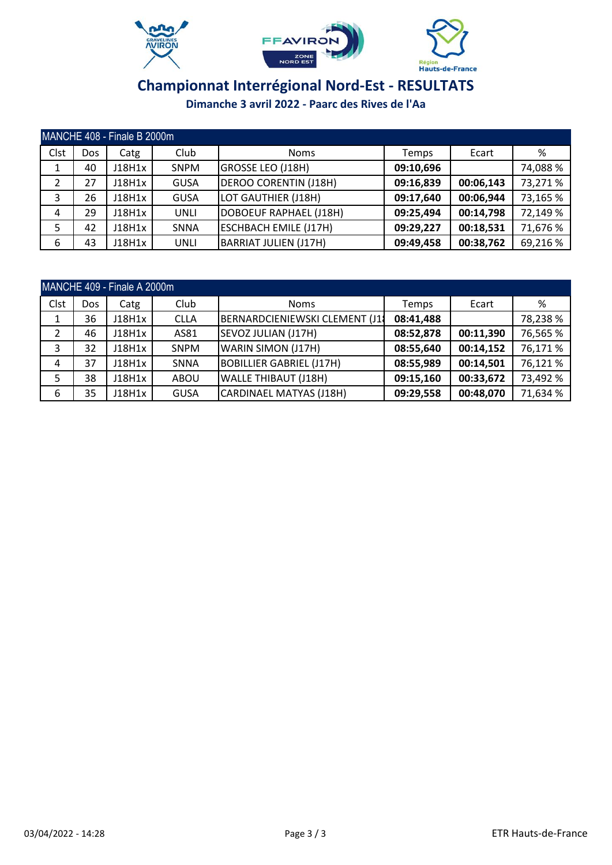





|      | MANCHE 408 - Finale B 2000m |        |             |                               |           |           |          |  |  |  |  |
|------|-----------------------------|--------|-------------|-------------------------------|-----------|-----------|----------|--|--|--|--|
| Clst | Dos                         | Catg   | Club        | <b>Noms</b>                   | Temps     | Ecart     | ℅        |  |  |  |  |
| Ŧ.   | 40                          | J18H1x | <b>SNPM</b> | GROSSE LEO (J18H)             | 09:10,696 |           | 74,088 % |  |  |  |  |
| 2    | 27                          | J18H1x | <b>GUSA</b> | <b>DEROO CORENTIN (J18H)</b>  | 09:16,839 | 00:06,143 | 73,271 % |  |  |  |  |
| 3    | 26                          | J18H1x | <b>GUSA</b> | LOT GAUTHIER (J18H)           | 09:17,640 | 00:06,944 | 73,165 % |  |  |  |  |
| 4    | 29                          | J18H1x | <b>UNLI</b> | <b>DOBOEUF RAPHAEL (J18H)</b> | 09:25,494 | 00:14,798 | 72,149 % |  |  |  |  |
| 5    | 42                          | J18H1x | <b>SNNA</b> | <b>ESCHBACH EMILE (J17H)</b>  | 09:29,227 | 00:18,531 | 71,676 % |  |  |  |  |
| 6    | 43                          | J18H1x | <b>UNLI</b> | <b>BARRIAT JULIEN (J17H)</b>  | 09:49,458 | 00:38,762 | 69,216 % |  |  |  |  |

|      | MANCHE 409 - Finale A 2000m |        |             |                                 |           |           |          |  |  |  |
|------|-----------------------------|--------|-------------|---------------------------------|-----------|-----------|----------|--|--|--|
| Clst | Dos                         | Catg   | Club        | <b>Noms</b>                     | Temps     | Ecart     | %        |  |  |  |
|      | 36                          | J18H1x | <b>CLLA</b> | BERNARDCIENIEWSKI CLEMENT (J1)  | 08:41,488 |           | 78,238 % |  |  |  |
| 2    | 46                          | J18H1x | AS81        | SEVOZ JULIAN (J17H)             | 08:52,878 | 00:11,390 | 76,565 % |  |  |  |
| 3    | 32                          | J18H1x | <b>SNPM</b> | WARIN SIMON (J17H)              | 08:55,640 | 00:14,152 | 76,171 % |  |  |  |
| 4    | 37                          | J18H1x | <b>SNNA</b> | <b>BOBILLIER GABRIEL (J17H)</b> | 08:55,989 | 00:14,501 | 76,121%  |  |  |  |
| 5    | 38                          | J18H1x | ABOU        | <b>WALLE THIBAUT (J18H)</b>     | 09:15,160 | 00:33,672 | 73,492 % |  |  |  |
| 6    | 35                          | J18H1x | <b>GUSA</b> | CARDINAEL MATYAS (J18H)         | 09:29,558 | 00:48,070 | 71,634 % |  |  |  |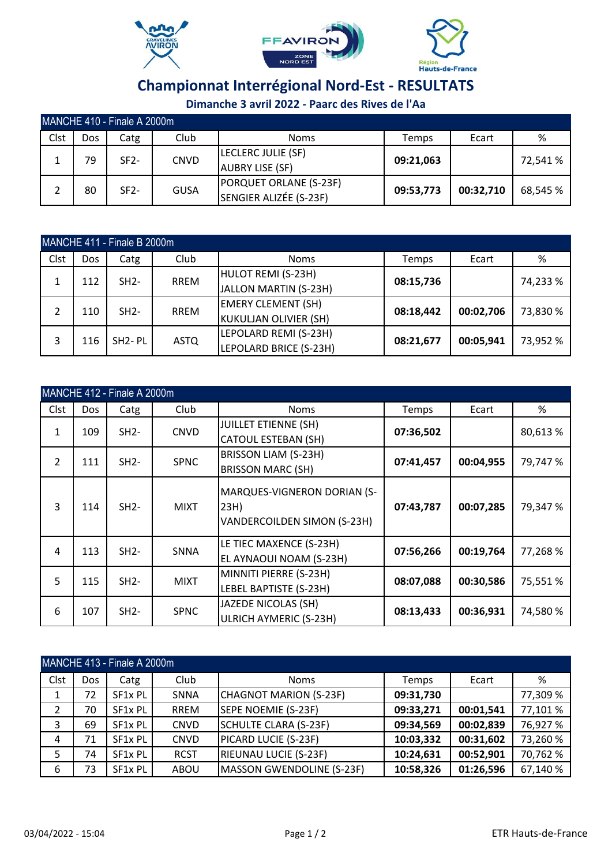





| MANCHE 410 - Finale A 2000m |     |        |             |                                                  |           |           |          |  |  |
|-----------------------------|-----|--------|-------------|--------------------------------------------------|-----------|-----------|----------|--|--|
| Clst                        | Dos | Catg   | Club        | <b>Noms</b>                                      | Temps     | Ecart     | %        |  |  |
|                             | 79  | $SF2-$ | <b>CNVD</b> | LECLERC JULIE (SF)<br><b>AUBRY LISE (SF)</b>     | 09:21,063 |           | 72,541 % |  |  |
|                             | 80  | $SF2-$ | <b>GUSA</b> | PORQUET ORLANE (S-23F)<br>SENGIER ALIZÉE (S-23F) | 09:53,773 | 00:32,710 | 68,545 % |  |  |

|      | MANCHE 411 - Finale B 2000m |                     |             |                        |             |                           |           |           |          |  |
|------|-----------------------------|---------------------|-------------|------------------------|-------------|---------------------------|-----------|-----------|----------|--|
| Clst | Dos                         | Catg                | Club        | <b>Noms</b>            | Temps       | Ecart                     | ℅         |           |          |  |
|      |                             | $SH2-$              | <b>RREM</b> | HULOT REMI (S-23H)     |             |                           |           |           |          |  |
|      | 112                         |                     |             | JALLON MARTIN (S-23H)  | 08:15,736   |                           | 74,233 %  |           |          |  |
| 2    | 110                         |                     |             | $SH2-$                 | <b>RREM</b> | <b>EMERY CLEMENT (SH)</b> | 08:18,442 | 00:02,706 | 73,830 % |  |
|      |                             |                     |             | KUKULJAN OLIVIER (SH)  |             |                           |           |           |          |  |
|      |                             | SH <sub>2</sub> -PL |             | LEPOLARD REMI (S-23H)  |             |                           |           |           |          |  |
| 3    | 116                         |                     | <b>ASTQ</b> | LEPOLARD BRICE (S-23H) | 08:21,677   | 00:05,941                 | 73,952 %  |           |          |  |

|                | MANCHE 412 - Finale A 2000m |        |             |                                                                    |           |           |          |  |  |  |  |  |
|----------------|-----------------------------|--------|-------------|--------------------------------------------------------------------|-----------|-----------|----------|--|--|--|--|--|
| Clst           | Dos                         | Catg   | Club        | <b>Noms</b>                                                        | Temps     | Ecart     | %        |  |  |  |  |  |
| $\mathbf{1}$   | 109                         | $SH2-$ | <b>CNVD</b> | <b>JUILLET ETIENNE (SH)</b><br><b>CATOUL ESTEBAN (SH)</b>          | 07:36,502 |           | 80,613 % |  |  |  |  |  |
| $\overline{2}$ | 111                         | $SH2-$ | <b>SPNC</b> | BRISSON LIAM (S-23H)<br><b>BRISSON MARC (SH)</b>                   | 07:41,457 | 00:04,955 | 79,747 % |  |  |  |  |  |
| 3              | 114                         | $SH2-$ | <b>MIXT</b> | MARQUES-VIGNERON DORIAN (S-<br>23H)<br>VANDERCOILDEN SIMON (S-23H) | 07:43,787 | 00:07,285 | 79,347 % |  |  |  |  |  |
| 4              | 113                         | $SH2-$ | <b>SNNA</b> | LE TIEC MAXENCE (S-23H)<br>EL AYNAOUI NOAM (S-23H)                 | 07:56,266 | 00:19,764 | 77,268 % |  |  |  |  |  |
| 5              | 115                         | $SH2-$ | <b>MIXT</b> | MINNITI PIERRE (S-23H)<br>LEBEL BAPTISTE (S-23H)                   | 08:07,088 | 00:30,586 | 75,551 % |  |  |  |  |  |
| 6              | 107                         | $SH2-$ | <b>SPNC</b> | JAZEDE NICOLAS (SH)<br><b>ULRICH AYMERIC (S-23H)</b>               | 08:13,433 | 00:36,931 | 74,580 % |  |  |  |  |  |

| MANCHE 413 - Finale A 2000m |      |                     |             |                              |           |           |          |  |
|-----------------------------|------|---------------------|-------------|------------------------------|-----------|-----------|----------|--|
| Clst                        | Dos. | Catg                | Club        | <b>Noms</b>                  | Temps     | Ecart     | %        |  |
| $\mathbf{1}$                | 72   | SF <sub>1x</sub> PL | SNNA        | CHAGNOT MARION (S-23F)       | 09:31,730 |           | 77,309 % |  |
| 2                           | 70   | SF1x PL             | <b>RREM</b> | SEPE NOEMIE (S-23F)          | 09:33,271 | 00:01,541 | 77,101 % |  |
| 3                           | 69   | SF <sub>1x</sub> PL | <b>CNVD</b> | SCHULTE CLARA (S-23F)        | 09:34,569 | 00:02,839 | 76,927 % |  |
| 4                           | 71   | SF <sub>1x</sub> PL | <b>CNVD</b> | PICARD LUCIE (S-23F)         | 10:03,332 | 00:31,602 | 73,260 % |  |
| 5                           | 74   | SF1x PL             | <b>RCST</b> | <b>RIEUNAU LUCIE (S-23F)</b> | 10:24,631 | 00:52,901 | 70,762 % |  |
| 6                           | 73   | SF1x PL             | ABOU        | MASSON GWENDOLINE (S-23F)    | 10:58,326 | 01:26,596 | 67,140 % |  |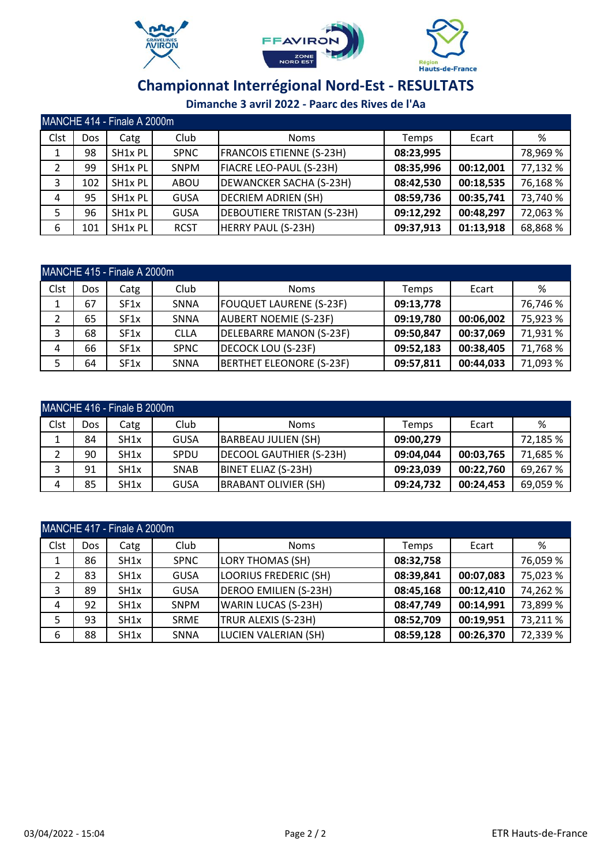





|      | MANCHE 414 - Finale A 2000m |                     |             |                                   |              |           |          |  |  |
|------|-----------------------------|---------------------|-------------|-----------------------------------|--------------|-----------|----------|--|--|
| Clst | Dos                         | Catg                | Club        | <b>Noms</b>                       | <b>Temps</b> | Ecart     | ℅        |  |  |
|      | 98                          | SH1x PL             | <b>SPNC</b> | <b>FRANCOIS ETIENNE (S-23H)</b>   | 08:23,995    |           | 78,969 % |  |  |
| 2    | 99                          | SH1x PL             | <b>SNPM</b> | FIACRE LEO-PAUL (S-23H)           | 08:35,996    | 00:12,001 | 77,132 % |  |  |
| 3    | 102                         | SH <sub>1x</sub> PL | ABOU        | DEWANCKER SACHA (S-23H)           | 08:42,530    | 00:18,535 | 76,168%  |  |  |
| 4    | 95                          | SH1x PL             | <b>GUSA</b> | DECRIEM ADRIEN (SH)               | 08:59,736    | 00:35,741 | 73,740 % |  |  |
| 5    | 96                          | SH1x PL             | <b>GUSA</b> | <b>DEBOUTIERE TRISTAN (S-23H)</b> | 09:12,292    | 00:48,297 | 72,063 % |  |  |
| 6    | 101                         | SH1x PL             | <b>RCST</b> | <b>HERRY PAUL (S-23H)</b>         | 09:37,913    | 01:13,918 | 68,868 % |  |  |

|      | MANCHE 415 - Finale A 2000m |                   |             |                                 |           |           |          |  |  |
|------|-----------------------------|-------------------|-------------|---------------------------------|-----------|-----------|----------|--|--|
| Clst | Dos.                        | Catg              | Club        | <b>Noms</b>                     | Temps     | Ecart     | %        |  |  |
|      | 67                          | SF <sub>1</sub> x | SNNA        | <b>FOUQUET LAURENE (S-23F)</b>  | 09:13,778 |           | 76,746 % |  |  |
| 2    | 65                          | SF <sub>1</sub> x | SNNA        | <b>AUBERT NOEMIE (S-23F)</b>    | 09:19,780 | 00:06,002 | 75,923 % |  |  |
| 3    | 68                          | SF <sub>1</sub> x | <b>CLLA</b> | DELEBARRE MANON (S-23F)         | 09:50,847 | 00:37,069 | 71,931 % |  |  |
| 4    | 66                          | SF <sub>1</sub> x | <b>SPNC</b> | DECOCK LOU (S-23F)              | 09:52,183 | 00:38,405 | 71,768 % |  |  |
| 5    | 64                          | SF <sub>1</sub> x | SNNA        | <b>BERTHET ELEONORE (S-23F)</b> | 09:57,811 | 00:44,033 | 71,093 % |  |  |

| MANCHE 416 - Finale B 2000m |     |                   |             |                             |           |           |          |  |
|-----------------------------|-----|-------------------|-------------|-----------------------------|-----------|-----------|----------|--|
| Clst                        | Dos | Catg              | Club        | <b>Noms</b>                 | Temps     | Ecart     | %        |  |
|                             | 84  | SH1x              | <b>GUSA</b> | <b>BARBEAU JULIEN (SH)</b>  | 09:00,279 |           | 72,185 % |  |
|                             | 90  | SH <sub>1x</sub>  | SPDU        | DECOOL GAUTHIER (S-23H)     | 09:04,044 | 00:03,765 | 71,685 % |  |
|                             | 91  | SH <sub>1</sub> x | SNAB        | BINET ELIAZ (S-23H)         | 09:23,039 | 00:22,760 | 69,267 % |  |
| 4                           | 85  | SH <sub>1</sub> x | <b>GUSA</b> | <b>BRABANT OLIVIER (SH)</b> | 09:24,732 | 00:24,453 | 69,059 % |  |

| MANCHE 417 - Finale A 2000m |            |                   |             |                              |           |           |          |  |
|-----------------------------|------------|-------------------|-------------|------------------------------|-----------|-----------|----------|--|
| Clst                        | <b>Dos</b> | Catg              | Club        | <b>Noms</b>                  | Temps     | Ecart     | ℅        |  |
| 1                           | 86         | SH1x              | <b>SPNC</b> | <b>LORY THOMAS (SH)</b>      | 08:32,758 |           | 76,059 % |  |
| 2                           | 83         | SH1x              | <b>GUSA</b> | <b>LOORIUS FREDERIC (SH)</b> | 08:39,841 | 00:07,083 | 75,023 % |  |
| 3                           | 89         | SH <sub>1</sub> x | <b>GUSA</b> | <b>DEROO EMILIEN (S-23H)</b> | 08:45,168 | 00:12,410 | 74,262 % |  |
| 4                           | 92         | SH <sub>1</sub> x | <b>SNPM</b> | WARIN LUCAS (S-23H)          | 08:47,749 | 00:14,991 | 73,899 % |  |
| 5                           | 93         | SH <sub>1x</sub>  | <b>SRME</b> | TRUR ALEXIS (S-23H)          | 08:52,709 | 00:19,951 | 73,211 % |  |
| 6                           | 88         | SH <sub>1x</sub>  | <b>SNNA</b> | LUCIEN VALERIAN (SH)         | 08:59,128 | 00:26,370 | 72,339 % |  |